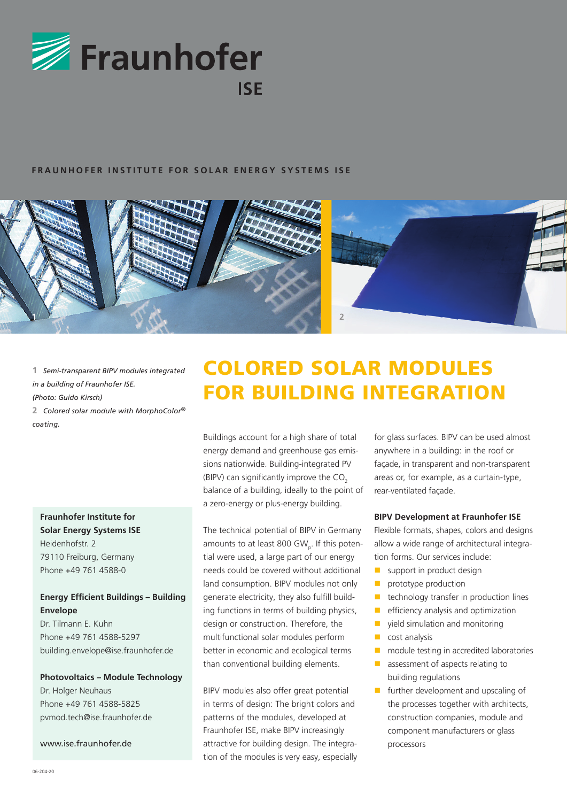

#### **FRAUNHOFER INSTITUTE FOR SOLAR ENERGY SYSTEMS ISE**



**1** *Semi-transparent BIPV modules integrated in a building of Fraunhofer ISE. (Photo: Guido Kirsch)*

**2** *Colored solar module with MorphoColor® coating.*

# **Fraunhofer Institute for Solar Energy Systems ISE** Heidenhofstr. 2

79110 Freiburg, Germany Phone +49 761 4588-0

# **Energy Efficient Buildings – Building Envelope**

Dr. Tilmann E. Kuhn Phone +49 761 4588-5297 building.envelope@ise.fraunhofer.de

#### **Photovoltaics – Module Technology**

Dr. Holger Neuhaus Phone +49 761 4588-5825 pvmod.tech@ise.fraunhofer.de

www.ise.fraunhofer.de

# COLORED SOLAR MODULES FOR BUILDING INTEGRATION

Buildings account for a high share of total energy demand and greenhouse gas emissions nationwide. Building-integrated PV (BIPV) can significantly improve the  $CO<sub>2</sub>$ balance of a building, ideally to the point of a zero-energy or plus-energy building.

The technical potential of BIPV in Germany amounts to at least 800 GW<sub>p</sub>. If this potential were used, a large part of our energy needs could be covered without additional land consumption. BIPV modules not only generate electricity, they also fulfill building functions in terms of building physics, design or construction. Therefore, the multifunctional solar modules perform better in economic and ecological terms than conventional building elements.

BIPV modules also offer great potential in terms of design: The bright colors and patterns of the modules, developed at Fraunhofer ISE, make BIPV increasingly attractive for building design. The integration of the modules is very easy, especially

for glass surfaces. BIPV can be used almost anywhere in a building: in the roof or façade, in transparent and non-transparent areas or, for example, as a curtain-type, rear-ventilated façade.

#### **BIPV Development at Fraunhofer ISE**

Flexible formats, shapes, colors and designs allow a wide range of architectural integration forms. Our services include:

- support in product design
- **prototype production**
- $\blacksquare$  technology transfer in production lines
- $\blacksquare$  efficiency analysis and optimization
- vield simulation and monitoring
- **Cost analysis**
- **n** module testing in accredited laboratories
- **assessment of aspects relating to** building regulations
- $\blacksquare$  further development and upscaling of the processes together with architects, construction companies, module and component manufacturers or glass processors